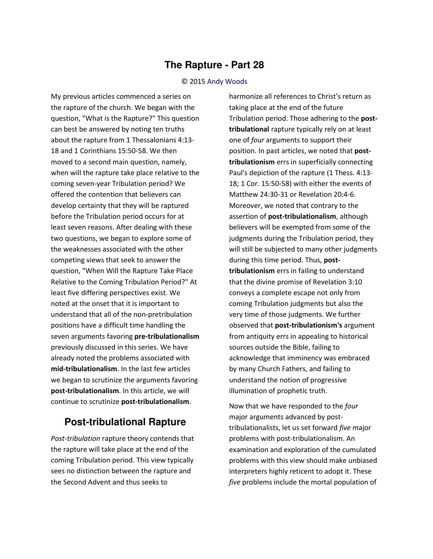## **The Rapture - Part 28**

## © 2015 [Andy Woods](http://www.spiritandtruth.org/id/aw.htm)

My previous articles commenced a series on the rapture of the church. We began with the question, "What is the Rapture?" This question can best be answered by noting ten truths about the rapture from 1 Thessalonians 4:13- 18 and 1 Corinthians 15:50-58. We then moved to a second main question, namely, when will the rapture take place relative to the coming seven-year Tribulation period? We offered the contention that believers can develop certainty that they will be raptured before the Tribulation period occurs for at least seven reasons. After dealing with these two questions, we began to explore some of the weaknesses associated with the other competing views that seek to answer the question, "When Will the Rapture Take Place Relative to the Coming Tribulation Period?" At least five differing perspectives exist. We noted at the onset that it is important to understand that all of the non-pretribulation positions have a difficult time handling the seven arguments favoring **pre-tribulationalism** previously discussed in this series. We have already noted the problems associated with **mid-tribulationalism**. In the last few articles we began to scrutinize the arguments favoring **post-tribulationalism**. In this article, we will continue to scrutinize **post-tribulationalism**.

## **Post-tribulational Rapture**

*Post-tribulation* rapture theory contends that the rapture will take place at the end of the coming Tribulation period. This view typically sees no distinction between the rapture and the Second Advent and thus seeks to

harmonize all references to Christ's return as taking place at the end of the future Tribulation period. Those adhering to the **posttribulational** rapture typically rely on at least one of *four* arguments to support their position. In past articles, we noted that **posttribulationism** errs in superficially connecting Paul's depiction of the rapture (1 Thess. 4:13- 18; 1 Cor. 15:50-58) with either the events of Matthew 24:30-31 or Revelation 20:4-6. Moreover, we noted that contrary to the assertion of **post-tribulationalism**, although believers will be exempted from some of the judgments during the Tribulation period, they will still be subjected to many other judgments during this time period. Thus, **posttribulationism** errs in failing to understand that the divine promise of Revelation 3:10 conveys a complete escape not only from coming Tribulation judgments but also the very time of those judgments. We further observed that **post-tribulationism's** argument from antiquity errs in appealing to historical sources outside the Bible, failing to acknowledge that imminency was embraced by many Church Fathers, and failing to understand the notion of progressive illumination of prophetic truth.

Now that we have responded to the *four* major arguments advanced by posttribulationalists, let us set forward *five* major problems with post-tribulationalism. An examination and exploration of the cumulated problems with this view should make unbiased interpreters highly reticent to adopt it. These *five* problems include the mortal population of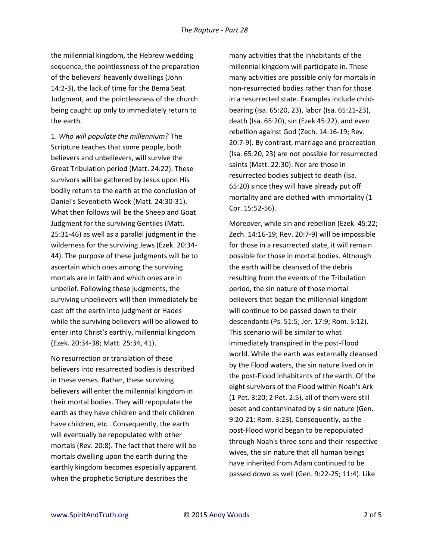the millennial kingdom, the Hebrew wedding sequence, the pointlessness of the preparation of the believers' heavenly dwellings (John 14:2-3), the lack of time for the Bema Seat Judgment, and the pointlessness of the church being caught up only to immediately return to the earth.

1. *Who will populate the millennium?* The Scripture teaches that some people, both believers and unbelievers, will survive the Great Tribulation period (Matt. 24:22). These survivors will be gathered by Jesus upon His bodily return to the earth at the conclusion of Daniel's Seventieth Week (Matt. 24:30-31). What then follows will be the Sheep and Goat Judgment for the surviving Gentiles (Matt. 25:31-46) as well as a parallel judgment in the wilderness for the surviving Jews (Ezek. 20:34- 44). The purpose of these judgments will be to ascertain which ones among the surviving mortals are in faith and which ones are in unbelief. Following these judgments, the surviving unbelievers will then immediately be cast off the earth into judgment or Hades while the surviving believers will be allowed to enter into Christ's earthly, millennial kingdom (Ezek. 20:34-38; Matt. 25:34, 41).

No resurrection or translation of these believers into resurrected bodies is described in these verses. Rather, these surviving believers will enter the millennial kingdom in their mortal bodies. They will repopulate the earth as they have children and their children have children, etc...Consequently, the earth will eventually be repopulated with other mortals (Rev. 20:8). The fact that there will be mortals dwelling upon the earth during the earthly kingdom becomes especially apparent when the prophetic Scripture describes the

many activities that the inhabitants of the millennial kingdom will participate in. These many activities are possible only for mortals in non-resurrected bodies rather than for those in a resurrected state. Examples include childbearing (Isa. 65:20, 23), labor (Isa. 65:21-23), death (Isa. 65:20), sin (Ezek 45:22), and even rebellion against God (Zech. 14:16-19; Rev. 20:7-9). By contrast, marriage and procreation (Isa. 65:20, 23) are not possible for resurrected saints (Matt. 22:30). Nor are those in resurrected bodies subject to death (Isa. 65:20) since they will have already put off mortality and are clothed with immortality (1 Cor. 15:52-56).

Moreover, while sin and rebellion (Ezek. 45:22; Zech. 14:16-19; Rev. 20:7-9) will be impossible for those in a resurrected state, it will remain possible for those in mortal bodies. Although the earth will be cleansed of the debris resulting from the events of the Tribulation period, the sin nature of those mortal believers that began the millennial kingdom will continue to be passed down to their descendants (Ps. 51:5; Jer. 17:9; Rom. 5:12). This scenario will be similar to what immediately transpired in the post-Flood world. While the earth was externally cleansed by the Flood waters, the sin nature lived on in the post-Flood inhabitants of the earth. Of the eight survivors of the Flood within Noah's Ark (1 Pet. 3:20; 2 Pet. 2:5), all of them were still beset and contaminated by a sin nature (Gen. 9:20-21; Rom. 3:23). Consequently, as the post-Flood world began to be repopulated through Noah's three sons and their respective wives, the sin nature that all human beings have inherited from Adam continued to be passed down as well (Gen. 9:22-25; 11:4). Like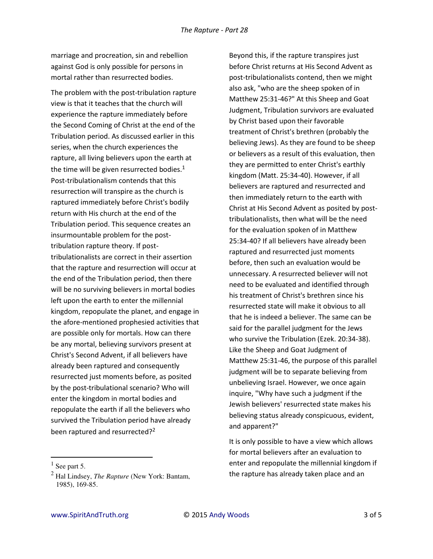marriage and procreation, sin and rebellion against God is only possible for persons in mortal rather than resurrected bodies.

The problem with the post-tribulation rapture view is that it teaches that the church will experience the rapture immediately before the Second Coming of Christ at the end of the Tribulation period. As discussed earlier in this series, when the church experiences the rapture, all living believers upon the earth at the time will be given resurrected bodies. $<sup>1</sup>$ </sup> Post-tribulationalism contends that this resurrection will transpire as the church is raptured immediately before Christ's bodily return with His church at the end of the Tribulation period. This sequence creates an insurmountable problem for the posttribulation rapture theory. If posttribulationalists are correct in their assertion that the rapture and resurrection will occur at the end of the Tribulation period, then there will be no surviving believers in mortal bodies left upon the earth to enter the millennial kingdom, repopulate the planet, and engage in the afore-mentioned prophesied activities that are possible only for mortals. How can there be any mortal, believing survivors present at Christ's Second Advent, if all believers have already been raptured and consequently resurrected just moments before, as posited by the post-tribulational scenario? Who will enter the kingdom in mortal bodies and repopulate the earth if all the believers who survived the Tribulation period have already been raptured and resurrected?<sup>2</sup>

l

Beyond this, if the rapture transpires just before Christ returns at His Second Advent as post-tribulationalists contend, then we might also ask, "who are the sheep spoken of in Matthew 25:31-46?" At this Sheep and Goat Judgment, Tribulation survivors are evaluated by Christ based upon their favorable treatment of Christ's brethren (probably the believing Jews). As they are found to be sheep or believers as a result of this evaluation, then they are permitted to enter Christ's earthly kingdom (Matt. 25:34-40). However, if all believers are raptured and resurrected and then immediately return to the earth with Christ at His Second Advent as posited by posttribulationalists, then what will be the need for the evaluation spoken of in Matthew 25:34-40? If all believers have already been raptured and resurrected just moments before, then such an evaluation would be unnecessary. A resurrected believer will not need to be evaluated and identified through his treatment of Christ's brethren since his resurrected state will make it obvious to all that he is indeed a believer. The same can be said for the parallel judgment for the Jews who survive the Tribulation (Ezek. 20:34-38). Like the Sheep and Goat Judgment of Matthew 25:31-46, the purpose of this parallel judgment will be to separate believing from unbelieving Israel. However, we once again inquire, "Why have such a judgment if the Jewish believers' resurrected state makes his believing status already conspicuous, evident, and apparent?"

It is only possible to have a view which allows for mortal believers after an evaluation to enter and repopulate the millennial kingdom if the rapture has already taken place and an

 $<sup>1</sup>$  See part 5.</sup>

<sup>2</sup> Hal Lindsey, *The Rapture* (New York: Bantam, 1985), 169-85.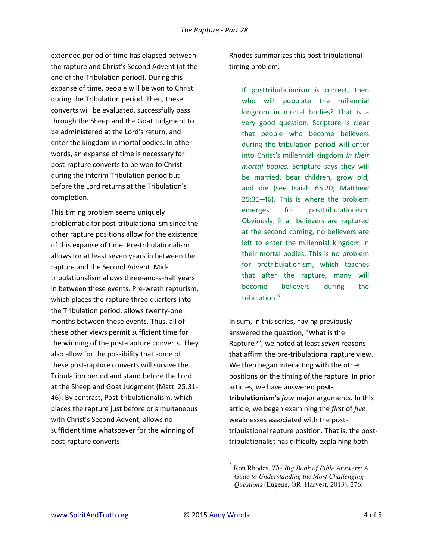extended period of time has elapsed between the rapture and Christ's Second Advent (at the end of the Tribulation period). During this expanse of time, people will be won to Christ during the Tribulation period. Then, these converts will be evaluated, successfully pass through the Sheep and the Goat Judgment to be administered at the Lord's return, and enter the kingdom in mortal bodies. In other words, an expanse of time is necessary for post-rapture converts to be won to Christ during the interim Tribulation period but before the Lord returns at the Tribulation's completion.

This timing problem seems uniquely problematic for post-tribulationalism since the other rapture positions allow for the existence of this expanse of time. Pre-tribulationalism allows for at least seven years in between the rapture and the Second Advent. Midtribulationalism allows three-and-a-half years in between these events. Pre-wrath rapturism, which places the rapture three quarters into the Tribulation period, allows twenty-one months between these events. Thus, all of these other views permit sufficient time for the winning of the post-rapture converts. They also allow for the possibility that some of these post-rapture converts will survive the Tribulation period and stand before the Lord at the Sheep and Goat Judgment (Matt. 25:31- 46). By contrast, Post-tribulationalism, which places the rapture just before or simultaneous with Christ's Second Advent, allows no sufficient time whatsoever for the winning of post-rapture converts.

Rhodes summarizes this post-tribulational timing problem:

If posttribulationism is correct, then who will populate the millennial kingdom in mortal bodies? That is a very good question. Scripture is clear that people who become believers during the tribulation period will enter into Christ's millennial kingdom *in their mortal bodies.* Scripture says they will be married, bear children, grow old, and die (see Isaiah 65:20; Matthew 25:31–46). This is where the problem emerges for posttribulationism. Obviously, if all believers are raptured at the second coming, no believers are left to enter the millennial kingdom in their mortal bodies. This is no problem for pretribulationism, which teaches that after the rapture, many will become believers during the tribulation.<sup>3</sup>

In sum, in this series, having previously answered the question, "What is the Rapture?", we noted at least *seven* reasons that affirm the pre-tribulational rapture view. We then began interacting with the other positions on the timing of the rapture. In prior articles, we have answered **posttribulationism's** *four* major arguments. In this article, we began examining the *first* of *five* weaknesses associated with the posttribulational rapture position. That is, the posttribulationalist has difficulty explaining both

l

<sup>3</sup> Ron Rhodes, *The Big Book of Bible Answers: A Gude to Understanding the Most Challenging Questions* (Eugene, OR: Harvest, 2013), 276.